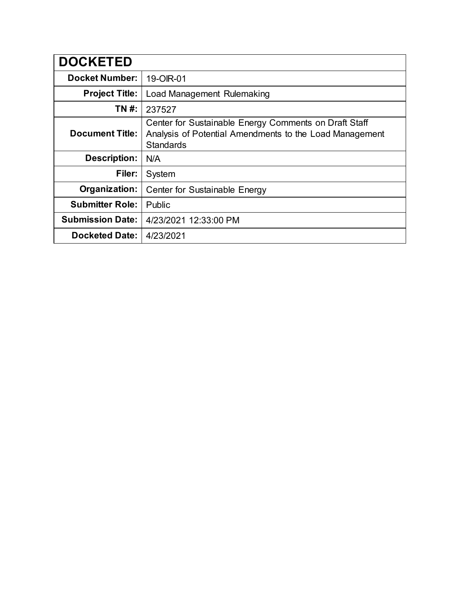| <b>DOCKETED</b>         |                                                                                                                                      |
|-------------------------|--------------------------------------------------------------------------------------------------------------------------------------|
| <b>Docket Number:</b>   | 19-OIR-01                                                                                                                            |
| <b>Project Title:</b>   | Load Management Rulemaking                                                                                                           |
| TN #:                   | 237527                                                                                                                               |
| <b>Document Title:</b>  | Center for Sustainable Energy Comments on Draft Staff<br>Analysis of Potential Amendments to the Load Management<br><b>Standards</b> |
| <b>Description:</b>     | N/A                                                                                                                                  |
| Filer:                  | System                                                                                                                               |
| Organization:           | Center for Sustainable Energy                                                                                                        |
| <b>Submitter Role:</b>  | Public                                                                                                                               |
| <b>Submission Date:</b> | 4/23/2021 12:33:00 PM                                                                                                                |
| <b>Docketed Date:</b>   | 4/23/2021                                                                                                                            |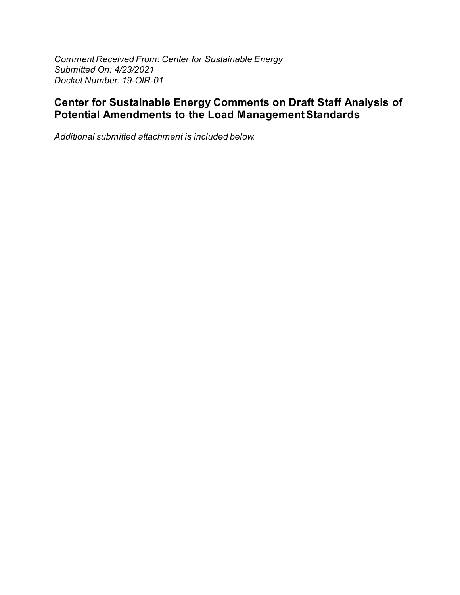Comment Received From: Center for Sustainable Energy Submitted On: 4/23/2021 Docket Number: 19-OIR-01

# Center for Sustainable Energy Comments on Draft Staff Analysis of Potential Amendments to the Load Management Standards

Additional submitted attachment is included below.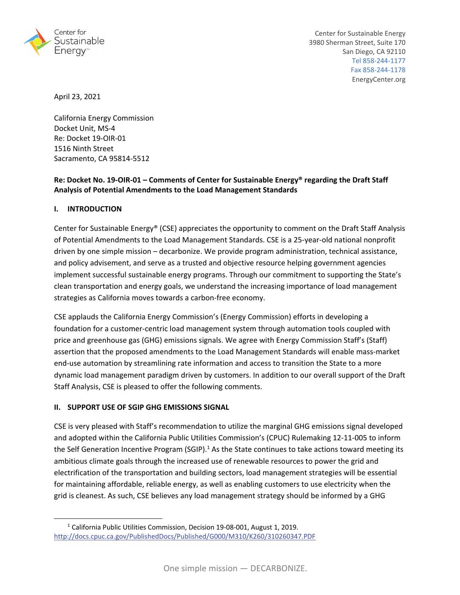

April 23, 2021

California Energy Commission Docket Unit, MS‐4 Re: Docket 19‐OIR‐01 1516 Ninth Street Sacramento, CA 95814‐5512

## Re: Docket No. 19-OIR-01 - Comments of Center for Sustainable Energy® regarding the Draft Staff **Analysis of Potential Amendments to the Load Management Standards**

## **I. INTRODUCTION**

Center for Sustainable Energy® (CSE) appreciates the opportunity to comment on the Draft Staff Analysis of Potential Amendments to the Load Management Standards. CSE is a 25‐year‐old national nonprofit driven by one simple mission – decarbonize. We provide program administration, technical assistance, and policy advisement, and serve as a trusted and objective resource helping government agencies implement successful sustainable energy programs. Through our commitment to supporting the State's clean transportation and energy goals, we understand the increasing importance of load management strategies as California moves towards a carbon‐free economy.

CSE applauds the California Energy Commission's (Energy Commission) efforts in developing a foundation for a customer‐centric load management system through automation tools coupled with price and greenhouse gas (GHG) emissions signals. We agree with Energy Commission Staff's (Staff) assertion that the proposed amendments to the Load Management Standards will enable mass‐market end‐use automation by streamlining rate information and access to transition the State to a more dynamic load management paradigm driven by customers. In addition to our overall support of the Draft Staff Analysis, CSE is pleased to offer the following comments.

## **II. SUPPORT USE OF SGIP GHG EMISSIONS SIGNAL**

CSE is very pleased with Staff's recommendation to utilize the marginal GHG emissions signal developed and adopted within the California Public Utilities Commission's (CPUC) Rulemaking 12‐11‐005 to inform the Self Generation Incentive Program (SGIP).<sup>1</sup> As the State continues to take actions toward meeting its ambitious climate goals through the increased use of renewable resources to power the grid and electrification of the transportation and building sectors, load management strategies will be essential for maintaining affordable, reliable energy, as well as enabling customers to use electricity when the grid is cleanest. As such, CSE believes any load management strategy should be informed by a GHG

<sup>&</sup>lt;sup>1</sup> California Public Utilities Commission, Decision 19-08-001, August 1, 2019. http://docs.cpuc.ca.gov/PublishedDocs/Published/G000/M310/K260/310260347.PDF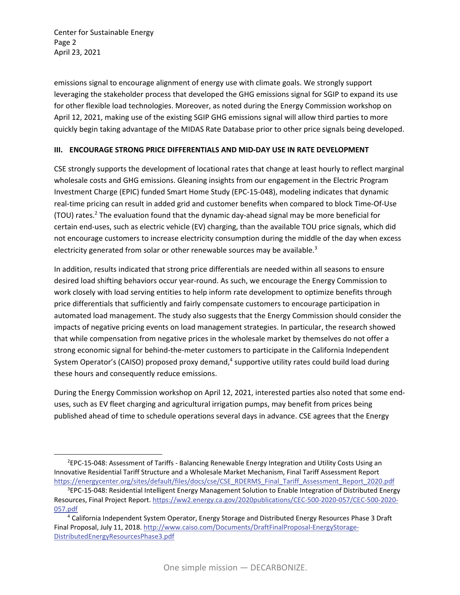Center for Sustainable Energy Page 2 April 23, 2021

emissions signal to encourage alignment of energy use with climate goals. We strongly support leveraging the stakeholder process that developed the GHG emissions signal for SGIP to expand its use for other flexible load technologies. Moreover, as noted during the Energy Commission workshop on April 12, 2021, making use of the existing SGIP GHG emissions signal will allow third parties to more quickly begin taking advantage of the MIDAS Rate Database prior to other price signals being developed.

### **III. ENCOURAGE STRONG PRICE DIFFERENTIALS AND MID‐DAY USE IN RATE DEVELOPMENT**

CSE strongly supports the development of locational rates that change at least hourly to reflect marginal wholesale costs and GHG emissions. Gleaning insights from our engagement in the Electric Program Investment Charge (EPIC) funded Smart Home Study (EPC‐15‐048), modeling indicates that dynamic real‐time pricing can result in added grid and customer benefits when compared to block Time‐Of‐Use (TOU) rates.<sup>2</sup> The evaluation found that the dynamic day-ahead signal may be more beneficial for certain end-uses, such as electric vehicle (EV) charging, than the available TOU price signals, which did not encourage customers to increase electricity consumption during the middle of the day when excess electricity generated from solar or other renewable sources may be available.<sup>3</sup>

In addition, results indicated that strong price differentials are needed within all seasons to ensure desired load shifting behaviors occur year‐round. As such, we encourage the Energy Commission to work closely with load serving entities to help inform rate development to optimize benefits through price differentials that sufficiently and fairly compensate customers to encourage participation in automated load management. The study also suggests that the Energy Commission should consider the impacts of negative pricing events on load management strategies. In particular, the research showed that while compensation from negative prices in the wholesale market by themselves do not offer a strong economic signal for behind‐the‐meter customers to participate in the California Independent System Operator's (CAISO) proposed proxy demand, $4$  supportive utility rates could build load during these hours and consequently reduce emissions.

During the Energy Commission workshop on April 12, 2021, interested parties also noted that some end‐ uses, such as EV fleet charging and agricultural irrigation pumps, may benefit from prices being published ahead of time to schedule operations several days in advance. CSE agrees that the Energy

<sup>2</sup> EPC‐15‐048: Assessment of Tariffs ‐ Balancing Renewable Energy Integration and Utility Costs Using an Innovative Residential Tariff Structure and a Wholesale Market Mechanism, Final Tariff Assessment Report https://energycenter.org/sites/default/files/docs/cse/CSE\_RDERMS\_Final\_Tariff\_Assessment\_Report\_2020.pdf

<sup>3</sup> EPC‐15‐048: Residential Intelligent Energy Management Solution to Enable Integration of Distributed Energy Resources, Final Project Report. https://ww2.energy.ca.gov/2020publications/CEC‐500‐2020‐057/CEC‐500‐2020‐ 057.pdf

<sup>4</sup> California Independent System Operator, Energy Storage and Distributed Energy Resources Phase 3 Draft Final Proposal, July 11, 2018. http://www.caiso.com/Documents/DraftFinalProposal-EnergyStorage-DistributedEnergyResourcesPhase3.pdf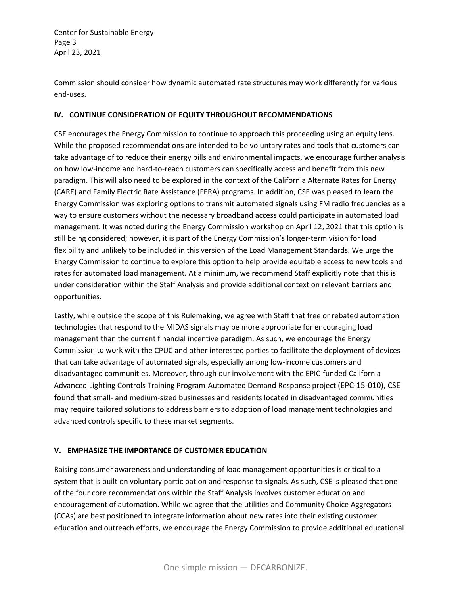Center for Sustainable Energy Page 3 April 23, 2021

Commission should consider how dynamic automated rate structures may work differently for various end‐uses.

### **IV. CONTINUE CONSIDERATION OF EQUITY THROUGHOUT RECOMMENDATIONS**

CSE encourages the Energy Commission to continue to approach this proceeding using an equity lens. While the proposed recommendations are intended to be voluntary rates and tools that customers can take advantage of to reduce their energy bills and environmental impacts, we encourage further analysis on how low-income and hard-to-reach customers can specifically access and benefit from this new paradigm. This will also need to be explored in the context of the California Alternate Rates for Energy (CARE) and Family Electric Rate Assistance (FERA) programs. In addition, CSE was pleased to learn the Energy Commission was exploring options to transmit automated signals using FM radio frequencies as a way to ensure customers without the necessary broadband access could participate in automated load management. It was noted during the Energy Commission workshop on April 12, 2021 that this option is still being considered; however, it is part of the Energy Commission's longer‐term vision for load flexibility and unlikely to be included in this version of the Load Management Standards. We urge the Energy Commission to continue to explore this option to help provide equitable access to new tools and rates for automated load management. At a minimum, we recommend Staff explicitly note that this is under consideration within the Staff Analysis and provide additional context on relevant barriers and opportunities.

Lastly, while outside the scope of this Rulemaking, we agree with Staff that free or rebated automation technologies that respond to the MIDAS signals may be more appropriate for encouraging load management than the current financial incentive paradigm. As such, we encourage the Energy Commission to work with the CPUC and other interested parties to facilitate the deployment of devices that can take advantage of automated signals, especially among low‐income customers and disadvantaged communities. Moreover, through our involvement with the EPIC‐funded California Advanced Lighting Controls Training Program‐Automated Demand Response project (EPC‐15‐010), CSE found that small‐ and medium‐sized businesses and residents located in disadvantaged communities may require tailored solutions to address barriers to adoption of load management technologies and advanced controls specific to these market segments.

## **V. EMPHASIZE THE IMPORTANCE OF CUSTOMER EDUCATION**

Raising consumer awareness and understanding of load management opportunities is critical to a system that is built on voluntary participation and response to signals. As such, CSE is pleased that one of the four core recommendations within the Staff Analysis involves customer education and encouragement of automation. While we agree that the utilities and Community Choice Aggregators (CCAs) are best positioned to integrate information about new rates into their existing customer education and outreach efforts, we encourage the Energy Commission to provide additional educational